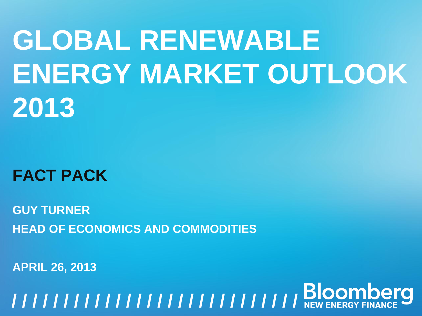# **GLOBAL RENEWABLE ENERGY MARKET OUTLOOK 2013**

**FACT PACK**

**GUY TURNER HEAD OF ECONOMICS AND COMMODITIES**

**APRIL 26, 2013**

**GLOBAL RENEWABLE ENERGY MARKET OUTLOOK, 26 APRIL 2013** <sup>1</sup> **/ / / / / / / / / / / / / / / / / / / / / / / / / / / / / / / /**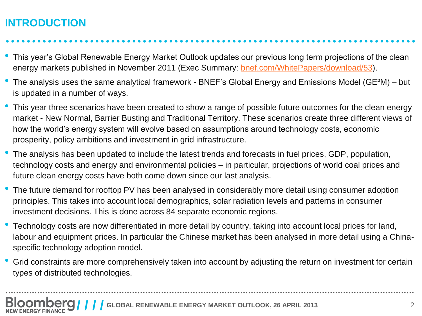## **INTRODUCTION**

• This year's Global Renewable Energy Market Outlook updates our previous long term projections of the clean energy markets published in November 2011 (Exec Summary: [bnef.com/WhitePapers/download/53](http://bnef.com/WhitePapers/download/53)).

- The analysis uses the same analytical framework BNEF's Global Energy and Emissions Model (GE<sup>2</sup>M) but is updated in a number of ways.
- This year three scenarios have been created to show a range of possible future outcomes for the clean energy market - New Normal, Barrier Busting and Traditional Territory. These scenarios create three different views of how the world's energy system will evolve based on assumptions around technology costs, economic prosperity, policy ambitions and investment in grid infrastructure.
- The analysis has been updated to include the latest trends and forecasts in fuel prices, GDP, population, technology costs and energy and environmental policies – in particular, projections of world coal prices and future clean energy costs have both come down since our last analysis.
- The future demand for rooftop PV has been analysed in considerably more detail using consumer adoption principles. This takes into account local demographics, solar radiation levels and patterns in consumer investment decisions. This is done across 84 separate economic regions.
- Technology costs are now differentiated in more detail by country, taking into account local prices for land, labour and equipment prices. In particular the Chinese market has been analysed in more detail using a Chinaspecific technology adoption model.
- Grid constraints are more comprehensively taken into account by adjusting the return on investment for certain types of distributed technologies.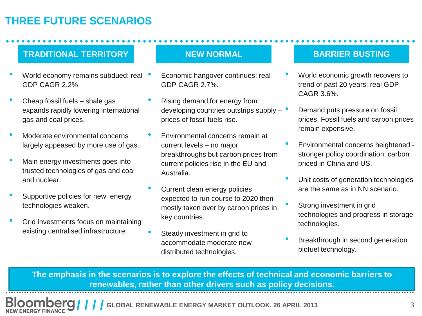## **THREE FUTURE SCENARIOS**

### **TRADITIONAL TERRITORY NEW NORMAL**

- World economy remains subdued: real GDP CAGR 2.2%
- Cheap fossil fuels shale gas expands rapidly lowering international gas and coal prices.
- Moderate environmental concerns largely appeased by more use of gas.
- Main energy investments goes into trusted technologies of gas and coal and nuclear.
- Supportive policies for new energy technologies weaken.
- Grid investments focus on maintaining existing centralised infrastructure

- Economic hangover continues: real GDP CAGR 2.7%.
- Rising demand for energy from developing countries outstrips supply – prices of fossil fuels rise.
- Environmental concerns remain at current levels – no major breakthroughs but carbon prices from current policies rise in the EU and Australia.
- Current clean energy policies expected to run course to 2020 then mostly taken over by carbon prices in key countries.
- Steady investment in grid to accommodate moderate new distributed technologies.

### **BARRIER BUSTING**

- World economic growth recovers to trend of past 20 years: real GDP CAGR 3.6%.
- Demand puts pressure on fossil prices. Fossil fuels and carbon prices remain expensive.
- Environmental concerns heightened stronger policy coordination; carbon priced in China and US.
- Unit costs of generation technologies are the same as in NN scenario.
- Strong investment in grid technologies and progress in storage technologies.
- Breakthrough in second generation biofuel technology.

**The emphasis in the scenarios is to explore the effects of technical and economic barriers to renewables, rather than other drivers such as policy decisions.**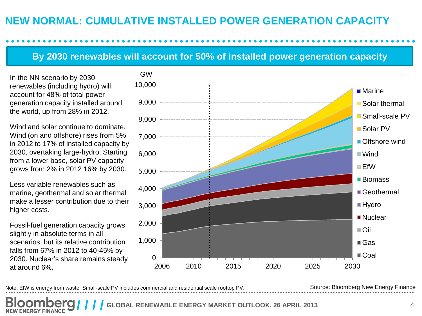## **NEW NORMAL: CUMULATIVE INSTALLED POWER GENERATION CAPACITY**

## **By 2030 renewables will account for 50% of installed power generation capacity**

In the NN scenario by 2030 renewables (including hydro) will account for 48% of total power generation capacity installed around the world, up from 28% in 2012.

Wind and solar continue to dominate. Wind (on and offshore) rises from 5% in 2012 to 17% of installed capacity by 2030, overtaking large-hydro. Starting from a lower base, solar PV capacity grows from 2% in 2012 16% by 2030.

Less variable renewables such as marine, geothermal and solar thermal make a lesser contribution due to their higher costs.

Fossil-fuel generation capacity grows slightly in absolute terms in all scenarios, but its relative contribution falls from 67% in 2012 to 40-45% by 2030. Nuclear's share remains steady at around 6%.

**NEW ENERGY FINANCE** 



Note: EfW is energy from waste Small-scale PV includes commercial and residential scale rooftop PV.

GW

Source: Bloomberg New Energy Finance

AL RENEWABLE ENERGY MARKET OUTLOOK, 26 APRIL 2013 **4** 4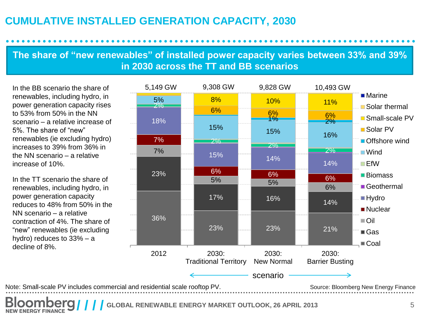## **CUMULATIVE INSTALLED GENERATION CAPACITY, 2030**

## **The share of "new renewables" of installed power capacity varies between 33% and 39% in 2030 across the TT and BB scenarios**

In the BB scenario the share of renewables, including hydro, in power generation capacity rises to 53% from 50% in the NN scenario – a relative increase of 5%. The share of "new" renewables (ie excluding hydro) increases to 39% from 36% in the NN scenario – a relative increase of 10%.

In the TT scenario the share of renewables, including hydro, in power generation capacity reduces to 48% from 50% in the NN scenario – a relative contraction of 4%. The share of "new" renewables (ie excluding hydro) reduces to 33% – a decline of 8%.



**GLOBAL RENEWABLE ENERGY MARKET OUTLOOK, 26 APRIL 2013** 5 **NEW ENERGY FINANCE**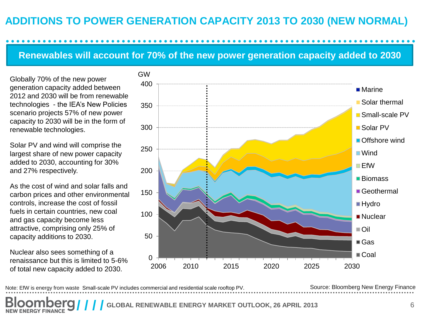## **ADDITIONS TO POWER GENERATION CAPACITY 2013 TO 2030 (NEW NORMAL)**

## **Renewables will account for 70% of the new power generation capacity added to 2030**

Globally 70% of the new power generation capacity added between 2012 and 2030 will be from renewable technologies - the IEA's New Policies scenario projects 57% of new power capacity to 2030 will be in the form of renewable technologies.

Solar PV and wind will comprise the largest share of new power capacity added to 2030, accounting for 30% and 27% respectively.

As the cost of wind and solar falls and carbon prices and other environmental controls, increase the cost of fossil fuels in certain countries, new coal and gas capacity become less attractive, comprising only 25% of capacity additions to 2030.

Nuclear also sees something of a renaissance but this is limited to 5-6% of total new capacity added to 2030.

**ENERGY FINANCE** 



Note: EfW is energy from waste Small-scale PV includes commercial and residential scale rooftop PV. Source: Bloomberg New Energy Finance

RENEWABLE ENERGY MARKET OUTLOOK, 26 APRIL 2013 **6**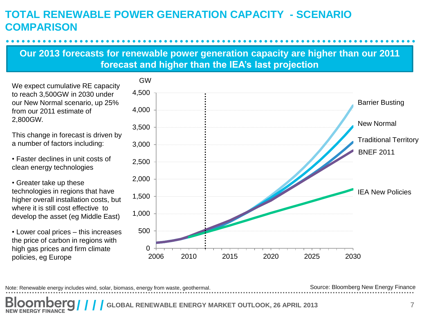## **TOTAL RENEWABLE POWER GENERATION CAPACITY - SCENARIO COMPARISON**

## **Our 2013 forecasts for renewable power generation capacity are higher than our 2011 forecast and higher than the IEA's last projection**

We expect cumulative RE capacity to reach 3,500GW in 2030 under our New Normal scenario, up 25% from our 2011 estimate of 2,800GW.

This change in forecast is driven by a number of factors including:

• Faster declines in unit costs of clean energy technologies

• Greater take up these technologies in regions that have higher overall installation costs, but where it is still cost effective to develop the asset (eg Middle East)

• Lower coal prices – this increases the price of carbon in regions with high gas prices and firm climate policies, eg Europe



Note: Renewable energy includes wind, solar, biomass, energy from waste, geothermal.

Source: Bloomberg New Energy Finance

RENEWABLE ENERGY MARKET OUTLOOK, 26 APRIL 2013 **7 NEW ENERGY FINANCE**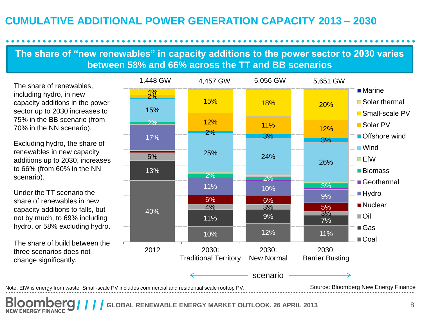## **CUMULATIVE ADDITIONAL POWER GENERATION CAPACITY 2013 – 2030**

## **The share of "new renewables" in capacity additions to the power sector to 2030 varies between 58% and 66% across the TT and BB scenarios**

The share of renewables, including hydro, in new capacity additions in the power sector up to 2030 increases to 75% in the BB scenario (from 70% in the NN scenario).

Excluding hydro, the share of renewables in new capacity additions up to 2030, increases to 66% (from 60% in the NN scenario).

Under the TT scenario the share of renewables in new capacity additions to falls, but not by much, to 69% including hydro, or 58% excluding hydro.

The share of build between the three scenarios does not change significantly.

**NEW ENERGY FINANCE** 



LOBAL RENEWABLE ENERGY MARKET OUTLOOK, 26 APRIL 2013 **8** 8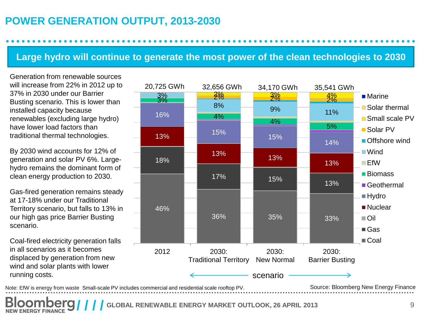## **POWER GENERATION OUTPUT, 2013-2030**

## **Large hydro will continue to generate the most power of the clean technologies to 2030**

Generation from renewable sources will increase from 22% in 2012 up to 37% in 2030 under our Barrier Busting scenario. This is lower than installed capacity because renewables (excluding large hydro) have lower load factors than traditional thermal technologies.

By 2030 wind accounts for 12% of generation and solar PV 6%. Largehydro remains the dominant form of clean energy production to 2030.

Gas-fired generation remains steady at 17-18% under our Traditional Territory scenario, but falls to 13% in our high gas price Barrier Busting scenario.

Coal-fired electricity generation falls in all scenarios as it becomes displaced by generation from new wind and solar plants with lower running costs.

**NEW ENERGY FINANCE** 



**COBAL RENEWABLE ENERGY MARKET OUTLOOK, 26 APRIL 2013** 9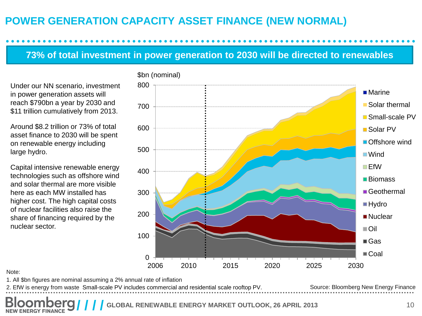## **POWER GENERATION CAPACITY ASSET FINANCE (NEW NORMAL)**

## **73% of total investment in power generation to 2030 will be directed to renewables**

Under our NN scenario, investment in power generation assets will reach \$790bn a year by 2030 and \$11 trillion cumulatively from 2013.

Around \$8.2 trillion or 73% of total asset finance to 2030 will be spent on renewable energy including large hydro.

Capital intensive renewable energy technologies such as offshore wind and solar thermal are more visible here as each MW installed has higher cost. The high capital costs of nuclear facilities also raise the share of financing required by the nuclear sector.



#### Note:

1. All \$bn figures are nominal assuming a 2% annual rate of inflation

Source: Bloomberg New Energy Finance 2. EfW is energy from waste Small-scale PV includes commercial and residential scale rooftop PV.

RENEWABLE ENERGY MARKET OUTLOOK, 26 APRIL 2013 **10 NEW ENERGY FINANCE**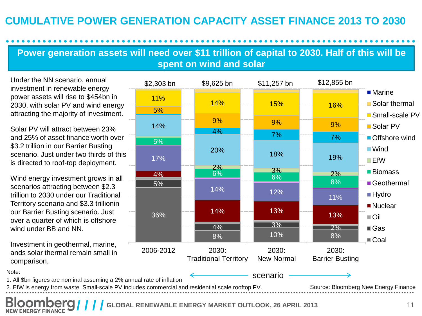## **CUMULATIVE POWER GENERATION CAPACITY ASSET FINANCE 2013 TO 2030**

## **Power generation assets will need over \$11 trillion of capital to 2030. Half of this will be spent on wind and solar**

Under the NN scenario, annual investment in renewable energy power assets will rise to \$454bn in 2030, with solar PV and wind energy attracting the majority of investment.

Solar PV will attract between 23% and 25% of asset finance worth over \$3.2 trillion in our Barrier Busting scenario. Just under two thirds of this is directed to roof-top deployment.

Wind energy investment grows in all scenarios attracting between \$2.3 trillion to 2030 under our Traditional Territory scenario and \$3.3 trillionin our Barrier Busting scenario. Just over a quarter of which is offshore wind under BB and NN.

Investment in geothermal, marine, ands solar thermal remain small in comparison.



**GLOBAL RENEWABLE ENERGY MARKET OUTLOOK, 26 APRIL 2013** <sup>11</sup> **/ / / / NEW ENERGY FINANCE**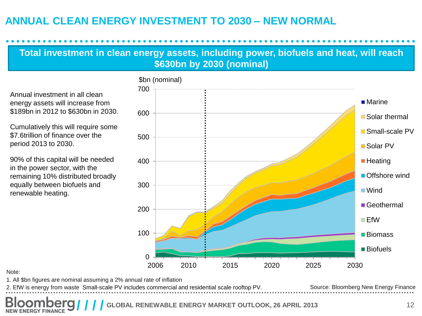## **ANNUAL CLEAN ENERGY INVESTMENT TO 2030 – NEW NORMAL**

## **Total investment in clean energy assets, including power, biofuels and heat, will reach \$630bn by 2030 (nominal)**

Annual investment in all clean energy assets will increase from \$189bn in 2012 to \$630bn in 2030.

Cumulatively this will require some \$7.6trillion of finance over the period 2013 to 2030.

90% of this capital will be needed in the power sector, with the remaining 10% distributed broadly equally between biofuels and renewable heating.



#### Note:

1. All \$bn figures are nominal assuming a 2% annual rate of inflation

Source: Bloomberg New Energy Finance 2. EfW is energy from waste Small-scale PV includes commercial and residential scale rooftop PV.

**COBAL RENEWABLE ENERGY MARKET OUTLOOK, 26 APRIL 2013** 12 **NEW ENERGY FINANCE**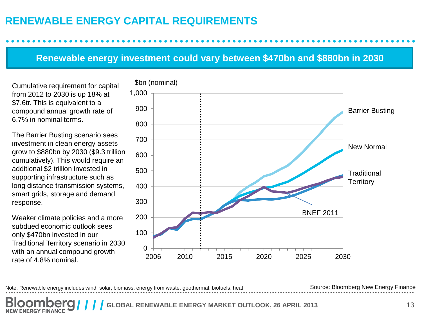## **RENEWABLE ENERGY CAPITAL REQUIREMENTS**

### **Renewable energy investment could vary between \$470bn and \$880bn in 2030**

Cumulative requirement for capital from 2012 to 2030 is up 18% at \$7.6tr. This is equivalent to a compound annual growth rate of 6.7% in nominal terms.

The Barrier Busting scenario sees investment in clean energy assets grow to \$880bn by 2030 (\$9.3 trillion cumulatively). This would require an additional \$2 trillion invested in supporting infrastructure such as long distance transmission systems, smart grids, storage and demand response.

Weaker climate policies and a more subdued economic outlook sees only \$470bn invested in our Traditional Territory scenario in 2030 with an annual compound growth rate of 4.8% nominal.

![](_page_12_Figure_5.jpeg)

Note: Renewable energy includes wind, solar, biomass, energy from waste, geothermal. biofuels, heat.

Source: Bloomberg New Energy Finance

**COBAL RENEWABLE ENERGY MARKET OUTLOOK, 26 APRIL 2013 13 NEW ENERGY FINANCE**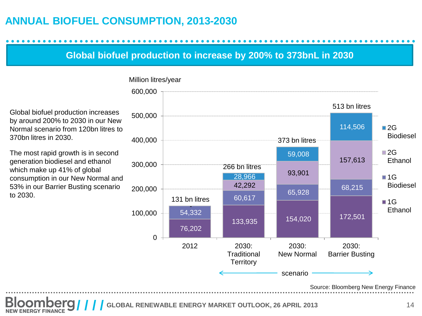## **ANNUAL BIOFUEL CONSUMPTION, 2013-2030**

## **Global biofuel production to increase by 200% to 373bnL in 2030**

![](_page_13_Figure_2.jpeg)

#### Global biofuel production increases by around 200% to 2030 in our New Normal scenario from 120bn litres to 370bn litres in 2030.

The most rapid growth is in second generation biodiesel and ethanol which make up 41% of global consumption in our New Normal and 53% in our Barrier Busting scenario to 2030.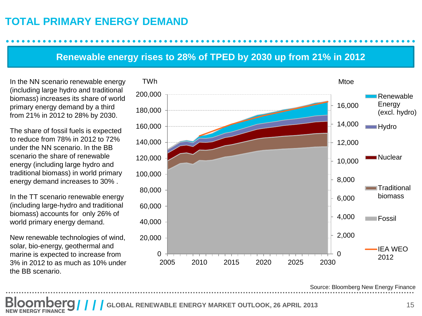## **TOTAL PRIMARY ENERGY DEMAND**

### **Renewable energy rises to 28% of TPED by 2030 up from 21% in 2012**

(including large hydro and traditional biomass) increases its share of world primary energy demand by a third from 21% in 2012 to 28% by 2030.

The share of fossil fuels is expected to reduce from 78% in 2012 to 72% under the NN scenario. In the BB scenario the share of renewable energy (including large hydro and traditional biomass) in world primary energy demand increases to 30% .

In the TT scenario renewable energy (including large-hydro and traditional biomass) accounts for only 26% of world primary energy demand.

New renewable technologies of wind, solar, bio-energy, geothermal and marine is expected to increase from 3% in 2012 to as much as 10% under the BB scenario.

![](_page_14_Figure_6.jpeg)

Source: Bloomberg New Energy Finance

**COBAL RENEWABLE ENERGY MARKET OUTLOOK, 26 APRIL 2013 15**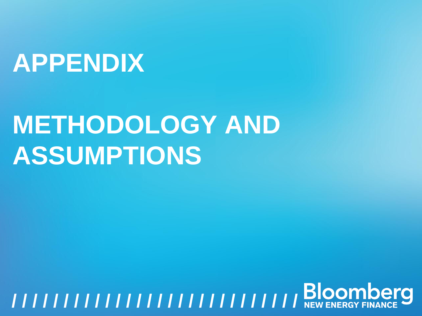## **APPENDIX**

## **METHODOLOGY AND ASSUMPTIONS**

# **GLOBAL RENEWABLE ENERGY MARKET OUTLOOK, 26 APRIL 2013** <sup>16</sup> **/ / / / / / / / / / / / / / / / / / / / / / / / / / / / / / / /**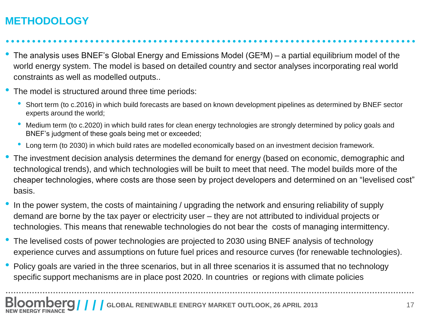## **METHODOLOGY**

• The analysis uses BNEF's Global Energy and Emissions Model (GE<sup>2</sup>M) – a partial equilibrium model of the world energy system. The model is based on detailed country and sector analyses incorporating real world constraints as well as modelled outputs..

- The model is structured around three time periods:
	- Short term (to c.2016) in which build forecasts are based on known development pipelines as determined by BNEF sector experts around the world;
	- Medium term (to c.2020) in which build rates for clean energy technologies are strongly determined by policy goals and BNEF's judgment of these goals being met or exceeded;
	- Long term (to 2030) in which build rates are modelled economically based on an investment decision framework.
- The investment decision analysis determines the demand for energy (based on economic, demographic and technological trends), and which technologies will be built to meet that need. The model builds more of the cheaper technologies, where costs are those seen by project developers and determined on an "levelised cost" basis.
- In the power system, the costs of maintaining / upgrading the network and ensuring reliability of supply demand are borne by the tax payer or electricity user – they are not attributed to individual projects or technologies. This means that renewable technologies do not bear the costs of managing intermittency.
- The levelised costs of power technologies are projected to 2030 using BNEF analysis of technology experience curves and assumptions on future fuel prices and resource curves (for renewable technologies).

• Policy goals are varied in the three scenarios, but in all three scenarios it is assumed that no technology specific support mechanisms are in place post 2020. In countries or regions with climate policies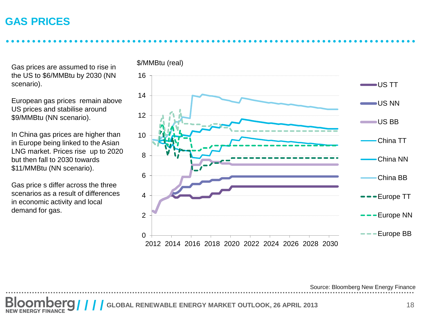## **GAS PRICES**

Gas prices are assumed to rise in the US to \$6/MMBtu by 2030 (NN scenario).

European gas prices remain above US prices and stabilise around \$9/MMBtu (NN scenario).

In China gas prices are higher than in Europe being linked to the Asian LNG market. Prices rise up to 2020 but then fall to 2030 towards \$11/MMBtu (NN scenario).

Gas price s differ across the three scenarios as a result of differences in economic activity and local demand for gas.

![](_page_17_Figure_5.jpeg)

Source: Bloomberg New Energy Finance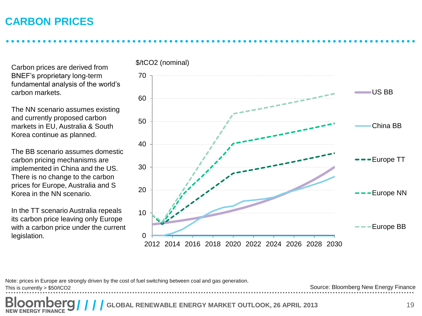## **CARBON PRICES**

Carbon prices are derived from BNEF's proprietary long-term fundamental analysis of the world's carbon markets.

The NN scenario assumes existing and currently proposed carbon markets in EU, Australia & South Korea continue as planned.

The BB scenario assumes domestic carbon pricing mechanisms are implemented in China and the US. There is no change to the carbon prices for Europe, Australia and S Korea in the NN scenario.

In the TT scenario Australia repeals its carbon price leaving only Europe with a carbon price under the current legislation.

![](_page_18_Figure_5.jpeg)

Note: prices in Europe are strongly driven by the cost of fuel switching between coal and gas generation.

This is currently > \$50/tCO2

Source: Bloomberg New Energy Finance

**COBAL RENEWABLE ENERGY MARKET OUTLOOK, 26 APRIL 2013 19**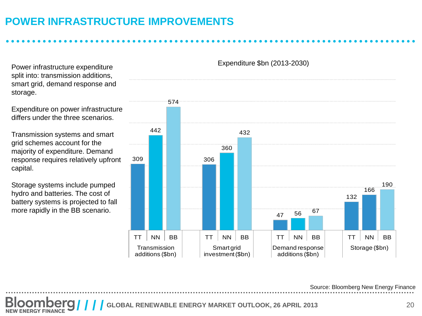## **POWER INFRASTRUCTURE IMPROVEMENTS**

split into: transmission additions, smart grid, demand response and storage.

Expenditure on power infrastructure differs under the three scenarios.

Transmission systems and smart grid schemes account for the majority of expenditure. Demand response requires relatively upfront capital.

Storage systems include pumped hydro and batteries. The cost of battery systems is projected to fall more rapidly in the BB scenario.

309 442 574 306 360 432  $\begin{array}{|c|c|} \hline & & 56 & 67 \\ \hline & & & & \end{array}$ 132 166 190 TT  $\mid$  NN  $\mid$  BB  $\mid$   $\mid$  TT  $\mid$  NN  $\mid$  BB  $\mid$   $\mid$  TT  $\mid$  NN  $\mid$  BB  $\mid$   $\mid$  TT  $\mid$  NN  $\mid$  BB **Transmission** additions (\$bn) Smart grid investment (\$bn) Demand response additions (\$bn) Storage (\$bn) Expenditure \$bn (2013-2030) Power infrastructure expenditure

Source: Bloomberg New Energy Finance

**GLOBAL RENEWABLE ENERGY MARKET OUTLOOK, 26 APRIL 2013** 20 **ENERGY FINANC**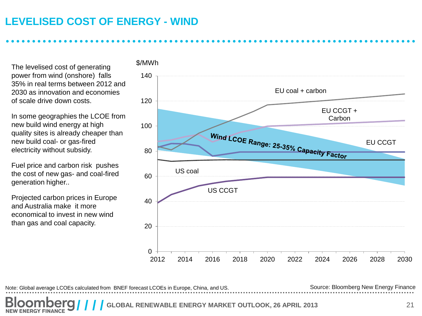## **LEVELISED COST OF ENERGY - WIND**

The levelised cost of generating power from wind (onshore) falls 35% in real terms between 2012 and 2030 as innovation and economies of scale drive down costs.

In some geographies the LCOE from new build wind energy at high quality sites is already cheaper than new build coal- or gas-fired electricity without subsidy.

Fuel price and carbon risk pushes the cost of new gas- and coal-fired generation higher..

Projected carbon prices in Europe and Australia make it more economical to invest in new wind than gas and coal capacity.

![](_page_20_Figure_5.jpeg)

Note: Global average LCOEs calculated from BNEF forecast LCOEs in Europe, China, and US. Source: Bloomberg New Energy Finance

**COBAL RENEWABLE ENERGY MARKET OUTLOOK, 26 APRIL 2013** *21* **NEW ENERGY FINANCE**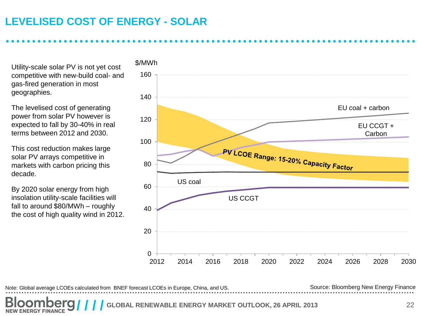## **LEVELISED COST OF ENERGY - SOLAR**

Utility-scale solar PV is not yet cost competitive with new-build coal- and gas-fired generation in most geographies.

The levelised cost of generating power from solar PV however is expected to fall by 30-40% in real terms between 2012 and 2030.

This cost reduction makes large solar PV arrays competitive in markets with carbon pricing this decade.

By 2020 solar energy from high insolation utility-scale facilities will fall to around \$80/MWh – roughly the cost of high quality wind in 2012.

![](_page_21_Figure_5.jpeg)

Note: Global average LCOEs calculated from BNEF forecast LCOEs in Europe, China, and US. Source: Bloomberg New Energy Finance

**COBAL RENEWABLE ENERGY MARKET OUTLOOK, 26 APRIL 2013** 22 **NEW ENERGY FINANCE**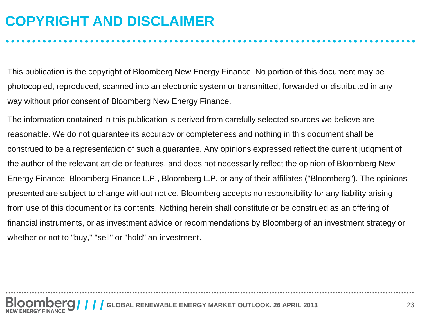## **COPYRIGHT AND DISCLAIMER**

This publication is the copyright of Bloomberg New Energy Finance. No portion of this document may be photocopied, reproduced, scanned into an electronic system or transmitted, forwarded or distributed in any way without prior consent of Bloomberg New Energy Finance.

The information contained in this publication is derived from carefully selected sources we believe are reasonable. We do not guarantee its accuracy or completeness and nothing in this document shall be construed to be a representation of such a guarantee. Any opinions expressed reflect the current judgment of the author of the relevant article or features, and does not necessarily reflect the opinion of Bloomberg New Energy Finance, Bloomberg Finance L.P., Bloomberg L.P. or any of their affiliates ("Bloomberg"). The opinions presented are subject to change without notice. Bloomberg accepts no responsibility for any liability arising from use of this document or its contents. Nothing herein shall constitute or be construed as an offering of financial instruments, or as investment advice or recommendations by Bloomberg of an investment strategy or whether or not to "buy," "sell" or "hold" an investment.